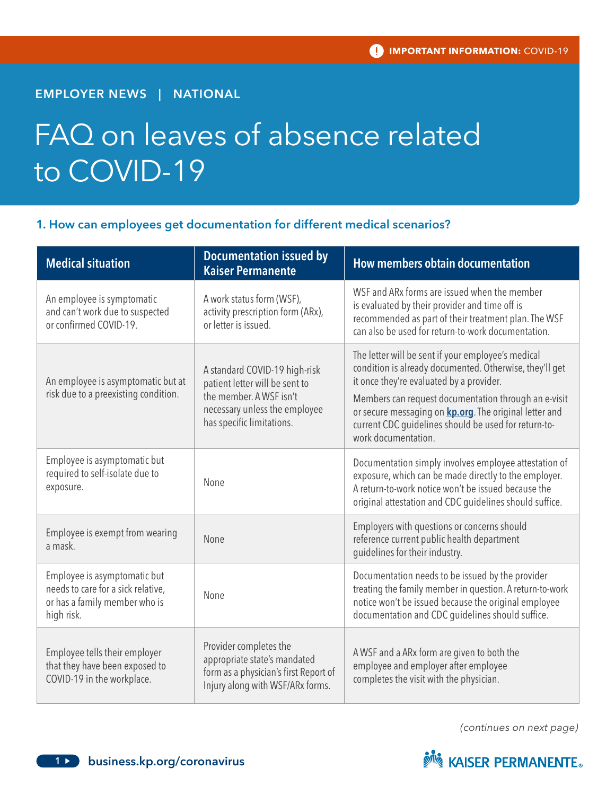# EMPLOYER NEWS | NATIONAL

# FAQ on leaves of absence related to COVID-19

# 1. How can employees get documentation for different medical scenarios?

| <b>Medical situation</b>                                                                                          | <b>Documentation issued by</b><br><b>Kaiser Permanente</b>                                                                                               | How members obtain documentation                                                                                                                                                                                                                                                                                                                                   |
|-------------------------------------------------------------------------------------------------------------------|----------------------------------------------------------------------------------------------------------------------------------------------------------|--------------------------------------------------------------------------------------------------------------------------------------------------------------------------------------------------------------------------------------------------------------------------------------------------------------------------------------------------------------------|
| An employee is symptomatic<br>and can't work due to suspected<br>or confirmed COVID-19.                           | A work status form (WSF),<br>activity prescription form (ARx),<br>or letter is issued.                                                                   | WSF and ARx forms are issued when the member<br>is evaluated by their provider and time off is<br>recommended as part of their treatment plan. The WSF<br>can also be used for return-to-work documentation.                                                                                                                                                       |
| An employee is asymptomatic but at<br>risk due to a preexisting condition.                                        | A standard COVID-19 high-risk<br>patient letter will be sent to<br>the member. A WSF isn't<br>necessary unless the employee<br>has specific limitations. | The letter will be sent if your employee's medical<br>condition is already documented. Otherwise, they'll get<br>it once they're evaluated by a provider.<br>Members can request documentation through an e-visit<br>or secure messaging on <b>kp.org</b> . The original letter and<br>current CDC guidelines should be used for return-to-<br>work documentation. |
| Employee is asymptomatic but<br>required to self-isolate due to<br>exposure.                                      | None                                                                                                                                                     | Documentation simply involves employee attestation of<br>exposure, which can be made directly to the employer.<br>A return-to-work notice won't be issued because the<br>original attestation and CDC guidelines should suffice.                                                                                                                                   |
| Employee is exempt from wearing<br>a mask.                                                                        | None                                                                                                                                                     | Employers with questions or concerns should<br>reference current public health department<br>guidelines for their industry.                                                                                                                                                                                                                                        |
| Employee is asymptomatic but<br>needs to care for a sick relative,<br>or has a family member who is<br>high risk. | None                                                                                                                                                     | Documentation needs to be issued by the provider<br>treating the family member in question. A return-to-work<br>notice won't be issued because the original employee<br>documentation and CDC guidelines should suffice.                                                                                                                                           |
| Employee tells their employer<br>that they have been exposed to<br>COVID-19 in the workplace.                     | Provider completes the<br>appropriate state's mandated<br>form as a physician's first Report of<br>Injury along with WSF/ARx forms.                      | A WSF and a ARx form are given to both the<br>employee and employer after employee<br>completes the visit with the physician.                                                                                                                                                                                                                                      |

*(continues on next page)*

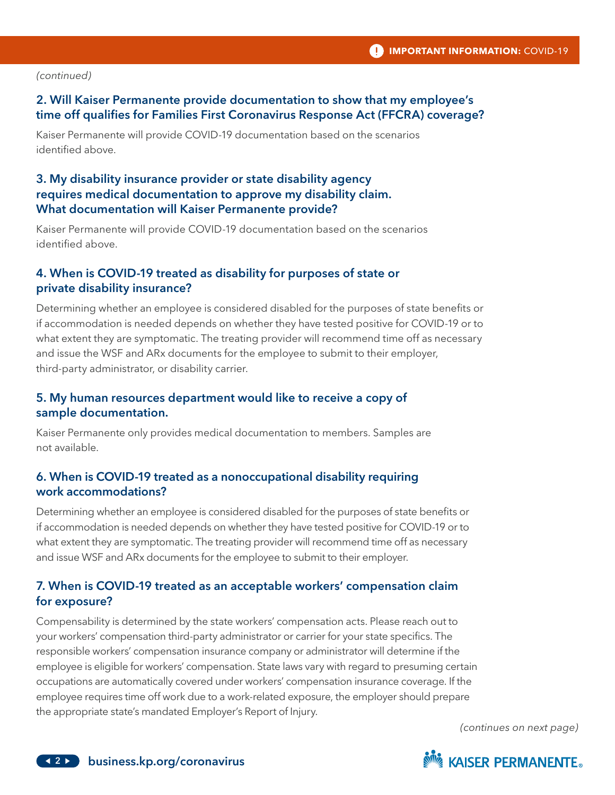#### *(continued)*

# 2. Will Kaiser Permanente provide documentation to show that my employee's time off qualifies for Families First Coronavirus Response Act (FFCRA) coverage?

Kaiser Permanente will provide COVID-19 documentation based on the scenarios identified above.

# 3. My disability insurance provider or state disability agency requires medical documentation to approve my disability claim. What documentation will Kaiser Permanente provide?

Kaiser Permanente will provide COVID-19 documentation based on the scenarios identified above.

## 4. When is COVID-19 treated as disability for purposes of state or private disability insurance?

Determining whether an employee is considered disabled for the purposes of state benefits or if accommodation is needed depends on whether they have tested positive for COVID-19 or to what extent they are symptomatic. The treating provider will recommend time off as necessary and issue the WSF and ARx documents for the employee to submit to their employer, third-party administrator, or disability carrier.

# 5. My human resources department would like to receive a copy of sample documentation.

Kaiser Permanente only provides medical documentation to members. Samples are not available.

# 6. When is COVID-19 treated as a nonoccupational disability requiring work accommodations?

Determining whether an employee is considered disabled for the purposes of state benefits or if accommodation is needed depends on whether they have tested positive for COVID-19 or to what extent they are symptomatic. The treating provider will recommend time off as necessary and issue WSF and ARx documents for the employee to submit to their employer.

# 7. When is COVID-19 treated as an acceptable workers' compensation claim for exposure?

Compensability is determined by the state workers' compensation acts. Please reach out to your workers' compensation third-party administrator or carrier for your state specifics. The responsible workers' compensation insurance company or administrator will determine if the employee is eligible for workers' compensation. State laws vary with regard to presuming certain occupations are automatically covered under workers' compensation insurance coverage. If the employee requires time off work due to a work-related exposure, the employer should prepare the appropriate state's mandated Employer's Report of Injury.

*(continues on next page)*

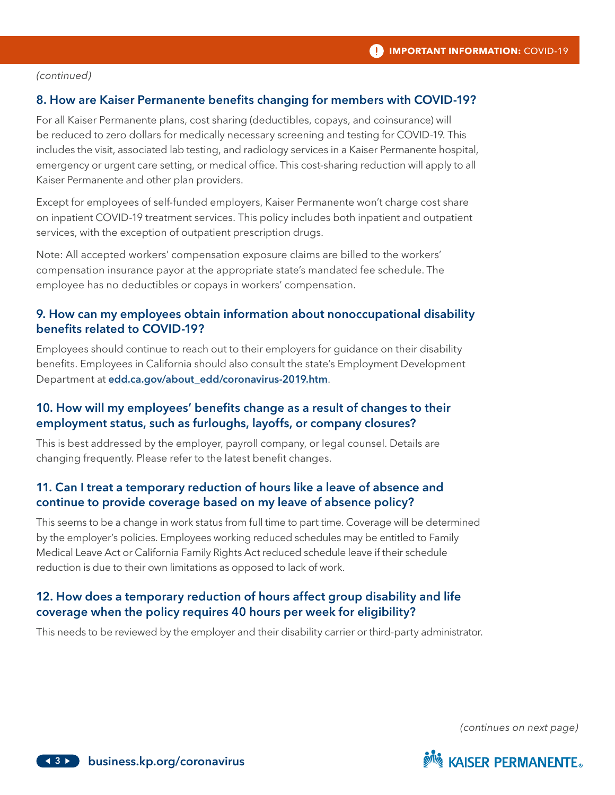#### *(continued)*

#### 8. How are Kaiser Permanente benefits changing for members with COVID-19?

For all Kaiser Permanente plans, cost sharing (deductibles, copays, and coinsurance) will be reduced to zero dollars for medically necessary screening and testing for COVID-19. This includes the visit, associated lab testing, and radiology services in a Kaiser Permanente hospital, emergency or urgent care setting, or medical office. This cost-sharing reduction will apply to all Kaiser Permanente and other plan providers.

Except for employees of self-funded employers, Kaiser Permanente won't charge cost share on inpatient COVID-19 treatment services. This policy includes both inpatient and outpatient services, with the exception of outpatient prescription drugs.

Note: All accepted workers' compensation exposure claims are billed to the workers' compensation insurance payor at the appropriate state's mandated fee schedule. The employee has no deductibles or copays in workers' compensation.

#### 9. How can my employees obtain information about nonoccupational disability benefits related to COVID-19?

Employees should continue to reach out to their employers for guidance on their disability benefits. Employees in California should also consult the state's Employment Development Department at [edd.ca.gov/about\\_edd/coronavirus-2019.htm](edd.ca.gov/about_edd/coronavirus-2019.htm).

## 10. How will my employees' benefits change as a result of changes to their employment status, such as furloughs, layoffs, or company closures?

This is best addressed by the employer, payroll company, or legal counsel. Details are changing frequently. Please refer to the latest benefit changes.

## 11. Can I treat a temporary reduction of hours like a leave of absence and continue to provide coverage based on my leave of absence policy?

This seems to be a change in work status from full time to part time. Coverage will be determined by the employer's policies. Employees working reduced schedules may be entitled to Family Medical Leave Act or California Family Rights Act reduced schedule leave if their schedule reduction is due to their own limitations as opposed to lack of work.

# 12. How does a temporary reduction of hours affect group disability and life coverage when the policy requires 40 hours per week for eligibility?

This needs to be reviewed by the employer and their disability carrier or third-party administrator.

*(continues on next page)*